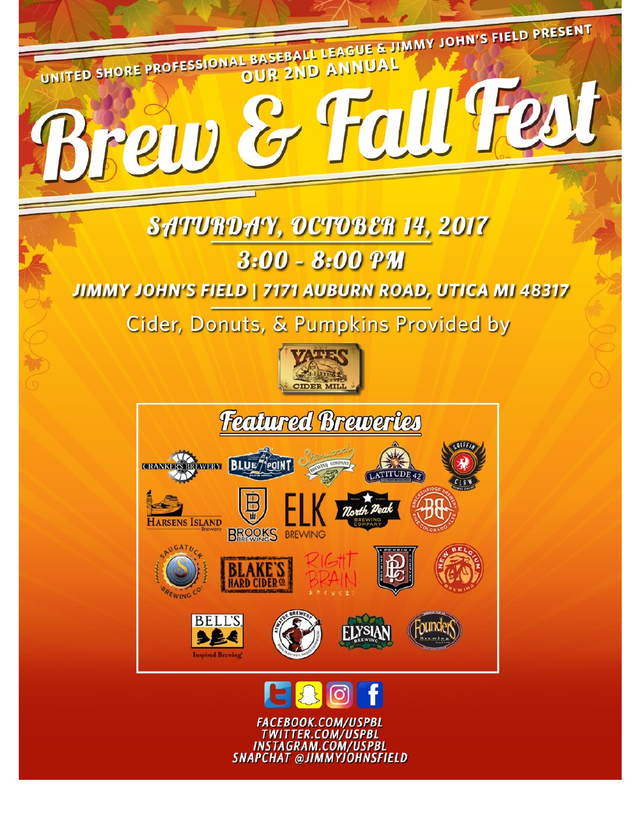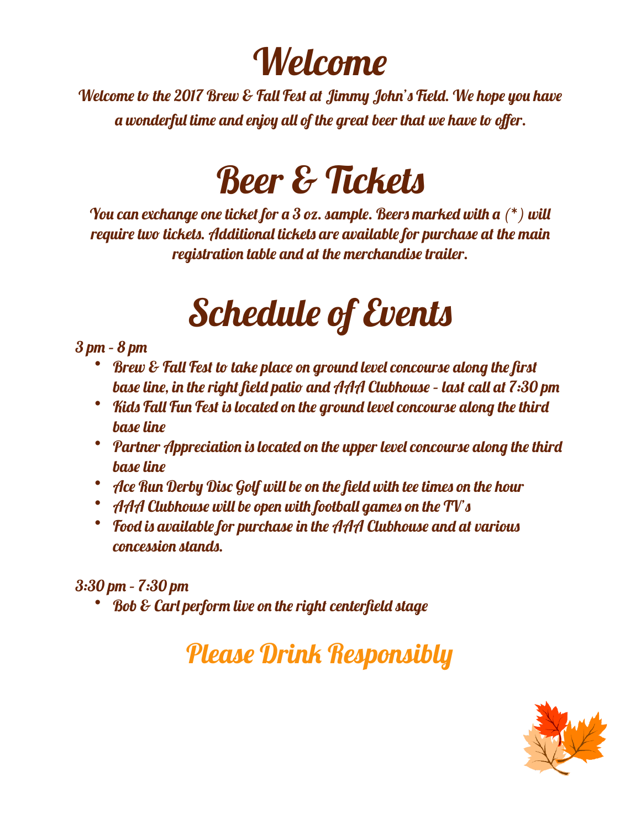# Welcome

Welcome to the 2017 Brew & Fall Fest at Jimmy John's Feld. We hope you have a wonderful time and enjoy all of the great beer that we have to offer.

# **Beer & Tickets**

You can exchange one ticket for a 3 oz. sample. Beers marked with a  $(*)$  will require two tickets. Additional tickets are available for purchase at the main registration table and at the merchandise trailer.

# Schedule of Events

### 3 pm – 8 pm

- Brew & Fall Fest to take place on ground level concourse along the first base line, in the right field patio and AAA Clubhouse – last call at 7:30 pm
- Kids Fall Fun Fest is located on the ground level concourse along the third base line
- Partner Appreciation is located on the upper level concourse along the third base line
- Ace Run Derby Disc Golf will be on the field with tee times on the hour
- AAA Clubhouse will be open with football games on the TV's
- Food is available for purchase in the AAA Clubhouse and at various concession stands.

## 3:30 pm – 7:30 pm

• Bob & Carl perform live on the right centerfield stage

## Please Drink Responsibly

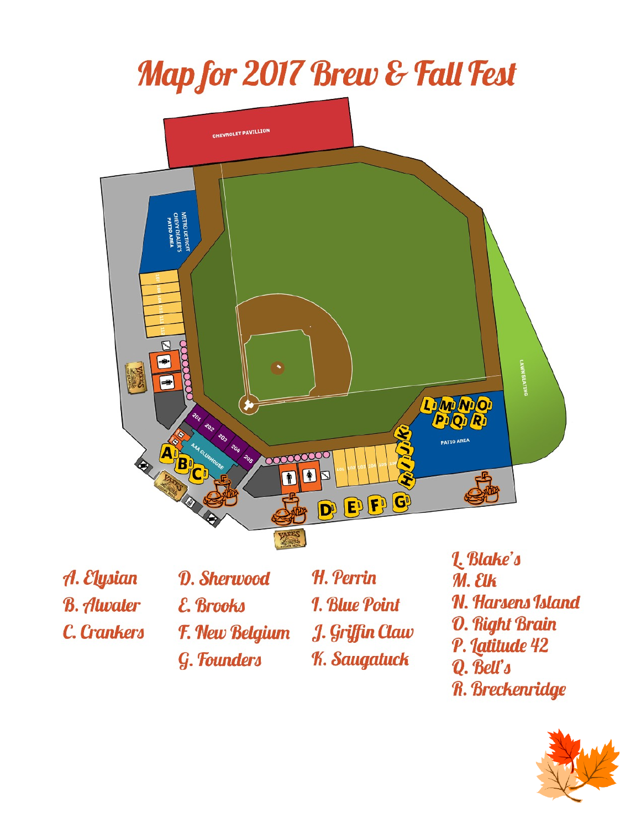# Map for 2017 Brew & Fall Fest



A. Elysian **B.** Atwater

C. Crankers

D. Sherwood E. Brooks **F. New Belgium** G. Founders

H. Perrin **1. Blue Point** J. Griffin Claw **K. Saugatuck** 

L. Blake's  $M.$   $E$ Ik **N. Harsens Island O. Right Brain** P. Latitude 42 Q. Bell's **R. Breckenridge** 

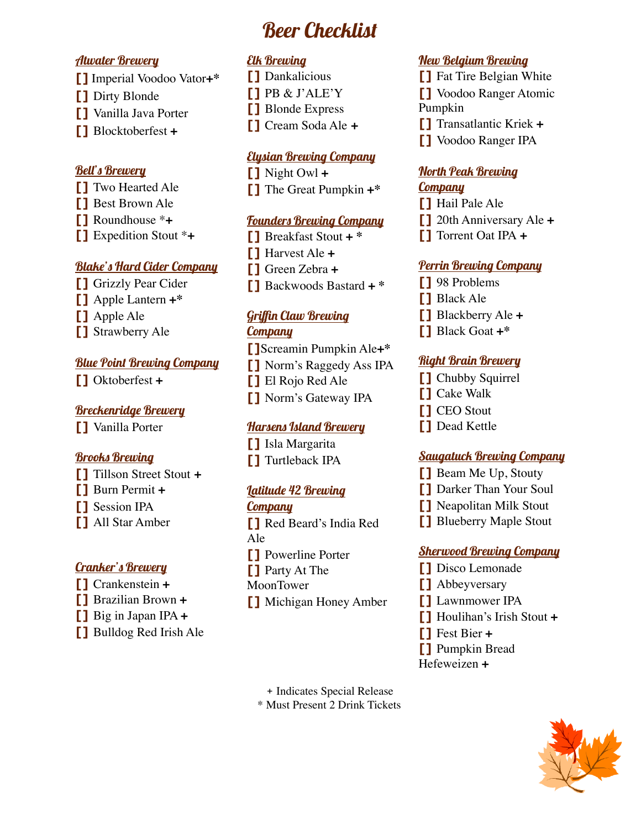## Beer Checklist

#### Atwater Brewery

- **[]** Imperial Voodoo Vator**+\***
- **[]** Dirty Blonde
- **[]** Vanilla Java Porter
- **[]** Blocktoberfest **+**

#### Bell's Brewery

- **[]** Two Hearted Ale
- **[]** Best Brown Ale
- **[]** Roundhouse \***+**
- **[]** Expedition Stout \***+**

#### Blake's Hard Cider Company

- **[]** Grizzly Pear Cider
- **[]** Apple Lantern **+\***
- **[]** Apple Ale
- **[]** Strawberry Ale

#### Blue Point Brewing Company

**[]** Oktoberfest **+**

#### Breckenridge Brewery

**[]** Vanilla Porter

#### Brooks Brewing

- **[]** Tillson Street Stout **+**
- **[]** Burn Permit **+**
- **[]** Session IPA
- **[]** All Star Amber

#### **Cranker's Brewery**

- **[]** Crankenstein **+**
- **[]** Brazilian Brown **+**
- **[]** Big in Japan IPA **+**
- **[]** Bulldog Red Irish Ale

#### Elk Brewing

- **[]** Dankalicious **[]** PB & J'ALE'Y **[]** Blonde Express
- **[]** Cream Soda Ale **+**

#### Elysian Brewing Company

**[]** Night Owl **+ []** The Great Pumpkin **+\***

#### Founders Brewing Company

- **[]** Breakfast Stout **+ \***
- **[]** Harvest Ale **+**
- **[]** Green Zebra **+**
- **[]** Backwoods Bastard **+ \***

#### Griffin Claw Brewing **Company**

**[]**Screamin Pumpkin Ale**+\* []** Norm's Raggedy Ass IPA **[]** El Rojo Red Ale

**[]** Norm's Gateway IPA

#### Harsens Island Brewery

**[]** Isla Margarita **[]** Turtleback IPA

#### Latitude 42 Brewing

#### **Company**

**[]** Red Beard's India Red Ale **[]** Powerline Porter **[]** Party At The MoonTower **[]** Michigan Honey Amber New Belgium Brewing

**[]** Fat Tire Belgian White **[]** Voodoo Ranger Atomic Pumpkin **[]** Transatlantic Kriek **+ []** Voodoo Ranger IPA

#### North Peak Brewing

#### **Company**

**[]** Hail Pale Ale **[]** 20th Anniversary Ale **+ []** Torrent Oat IPA **+**

#### Perrin Brewing Company

**[]** 98 Problems **[]** Black Ale **[]** Blackberry Ale **+ []** Black Goat **+\***

#### Right Brain Brewery

- **[]** Chubby Squirrel **[]** Cake Walk
- **[]** CEO Stout
- **[]** Dead Kettle

#### **<u>Saugatuck Brewing Company</u>**

- **[]** Beam Me Up, Stouty
- **[]** Darker Than Your Soul
- **[]** Neapolitan Milk Stout
- **[]** Blueberry Maple Stout

#### Sherwood Brewing Company

- **[]** Disco Lemonade
- **[]** Abbeyversary
- **[]** Lawnmower IPA
- **[]** Houlihan's Irish Stout **+**
- **[]** Fest Bier **+**
- **[]** Pumpkin Bread
- Hefeweizen **+**

+ Indicates Special Release \* Must Present 2 Drink Tickets

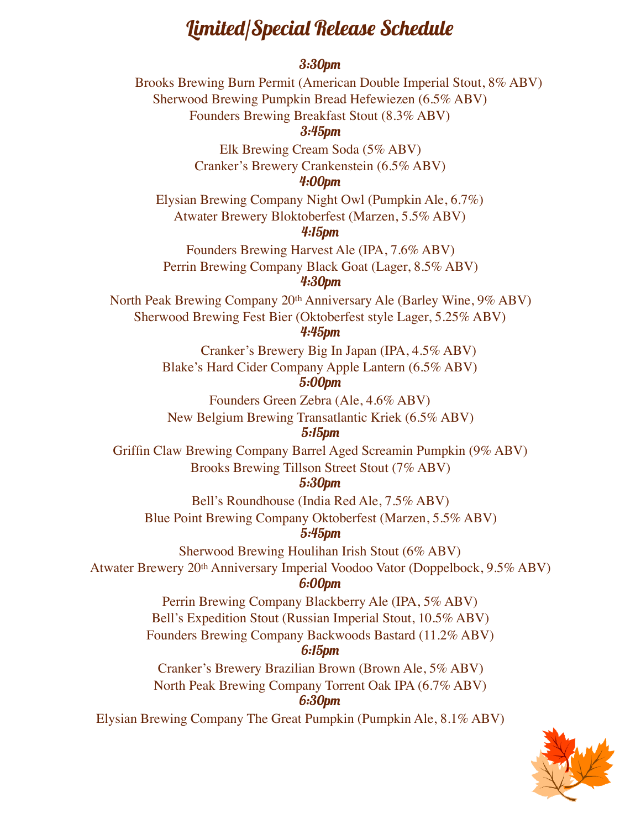## Limited/Special Release Schedule

#### 3:30pm

Brooks Brewing Burn Permit (American Double Imperial Stout, 8% ABV) Sherwood Brewing Pumpkin Bread Hefewiezen (6.5% ABV)

Founders Brewing Breakfast Stout (8.3% ABV)

#### 3:45pm

Elk Brewing Cream Soda (5% ABV) Cranker's Brewery Crankenstein (6.5% ABV)

#### 4:00pm

Elysian Brewing Company Night Owl (Pumpkin Ale, 6.7%) Atwater Brewery Bloktoberfest (Marzen, 5.5% ABV)

#### 4:15pm

Founders Brewing Harvest Ale (IPA, 7.6% ABV) Perrin Brewing Company Black Goat (Lager, 8.5% ABV) 4:30pm

North Peak Brewing Company 20th Anniversary Ale (Barley Wine, 9% ABV) Sherwood Brewing Fest Bier (Oktoberfest style Lager, 5.25% ABV)

#### 4:45pm

Cranker's Brewery Big In Japan (IPA, 4.5% ABV) Blake's Hard Cider Company Apple Lantern (6.5% ABV) 5:00pm

Founders Green Zebra (Ale, 4.6% ABV) New Belgium Brewing Transatlantic Kriek (6.5% ABV)

#### 5:15pm

Griffin Claw Brewing Company Barrel Aged Screamin Pumpkin (9% ABV) Brooks Brewing Tillson Street Stout (7% ABV)

#### 5:30pm

Bell's Roundhouse (India Red Ale, 7.5% ABV) Blue Point Brewing Company Oktoberfest (Marzen, 5.5% ABV)

#### 5:45pm

Sherwood Brewing Houlihan Irish Stout (6% ABV) Atwater Brewery 20th Anniversary Imperial Voodoo Vator (Doppelbock, 9.5% ABV)

#### 6:00pm

Perrin Brewing Company Blackberry Ale (IPA, 5% ABV) Bell's Expedition Stout (Russian Imperial Stout, 10.5% ABV)

Founders Brewing Company Backwoods Bastard (11.2% ABV)

#### 6:15pm

Cranker's Brewery Brazilian Brown (Brown Ale, 5% ABV) North Peak Brewing Company Torrent Oak IPA (6.7% ABV)

#### 6:30pm

Elysian Brewing Company The Great Pumpkin (Pumpkin Ale, 8.1% ABV)